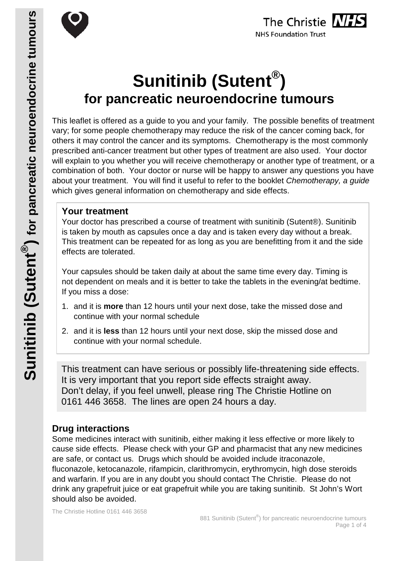



# **Sunitinib (Sutent®) for pancreatic neuroendocrine tumours**

This leaflet is offered as a guide to you and your family. The possible benefits of treatment vary; for some people chemotherapy may reduce the risk of the cancer coming back, for others it may control the cancer and its symptoms. Chemotherapy is the most commonly prescribed anti-cancer treatment but other types of treatment are also used. Your doctor will explain to you whether you will receive chemotherapy or another type of treatment, or a combination of both. Your doctor or nurse will be happy to answer any questions you have about your treatment. You will find it useful to refer to the booklet *Chemotherapy, a guide* which gives general information on chemotherapy and side effects.

#### **Your treatment**

Your doctor has prescribed a course of treatment with sunitinib (Sutent®). Sunitinib is taken by mouth as capsules once a day and is taken every day without a break. This treatment can be repeated for as long as you are benefitting from it and the side effects are tolerated.

Your capsules should be taken daily at about the same time every day. Timing is not dependent on meals and it is better to take the tablets in the evening/at bedtime. If you miss a dose:

- 1. and it is **more** than 12 hours until your next dose, take the missed dose and continue with your normal schedule
- 2. and it is **less** than 12 hours until your next dose, skip the missed dose and continue with your normal schedule.

This treatment can have serious or possibly life-threatening side effects. It is very important that you report side effects straight away. Don't delay, if you feel unwell, please ring The Christie Hotline on 0161 446 3658. The lines are open 24 hours a day.

### **Drug interactions**

Some medicines interact with sunitinib, either making it less effective or more likely to cause side effects. Please check with your GP and pharmacist that any new medicines are safe, or contact us. Drugs which should be avoided include itraconazole, fluconazole, ketocanazole, rifampicin, clarithromycin, erythromycin, high dose steroids and warfarin. If you are in any doubt you should contact The Christie. Please do not drink any grapefruit juice or eat grapefruit while you are taking sunitinib. St John's Wort should also be avoided.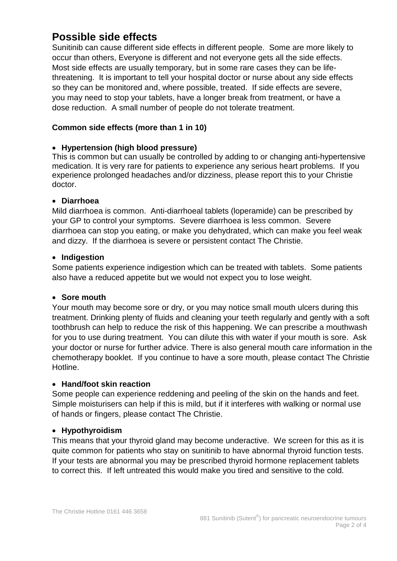## **Possible side effects**

Sunitinib can cause different side effects in different people. Some are more likely to occur than others, Everyone is different and not everyone gets all the side effects. Most side effects are usually temporary, but in some rare cases they can be lifethreatening. It is important to tell your hospital doctor or nurse about any side effects so they can be monitored and, where possible, treated. If side effects are severe, you may need to stop your tablets, have a longer break from treatment, or have a dose reduction. A small number of people do not tolerate treatment.

#### **Common side effects (more than 1 in 10)**

#### • **Hypertension (high blood pressure)**

This is common but can usually be controlled by adding to or changing anti-hypertensive medication. It is very rare for patients to experience any serious heart problems. If you experience prolonged headaches and/or dizziness, please report this to your Christie doctor.

#### • **Diarrhoea**

Mild diarrhoea is common. Anti-diarrhoeal tablets (loperamide) can be prescribed by your GP to control your symptoms. Severe diarrhoea is less common. Severe diarrhoea can stop you eating, or make you dehydrated, which can make you feel weak and dizzy. If the diarrhoea is severe or persistent contact The Christie.

#### • **Indigestion**

Some patients experience indigestion which can be treated with tablets. Some patients also have a reduced appetite but we would not expect you to lose weight.

#### • **Sore mouth**

Your mouth may become sore or dry, or you may notice small mouth ulcers during this treatment. Drinking plenty of fluids and cleaning your teeth regularly and gently with a soft toothbrush can help to reduce the risk of this happening. We can prescribe a mouthwash for you to use during treatment. You can dilute this with water if your mouth is sore. Ask your doctor or nurse for further advice. There is also general mouth care information in the chemotherapy booklet. If you continue to have a sore mouth, please contact The Christie Hotline.

#### • **Hand/foot skin reaction**

Some people can experience reddening and peeling of the skin on the hands and feet. Simple moisturisers can help if this is mild, but if it interferes with walking or normal use of hands or fingers, please contact The Christie.

#### • **Hypothyroidism**

This means that your thyroid gland may become underactive. We screen for this as it is quite common for patients who stay on sunitinib to have abnormal thyroid function tests. If your tests are abnormal you may be prescribed thyroid hormone replacement tablets to correct this. If left untreated this would make you tired and sensitive to the cold.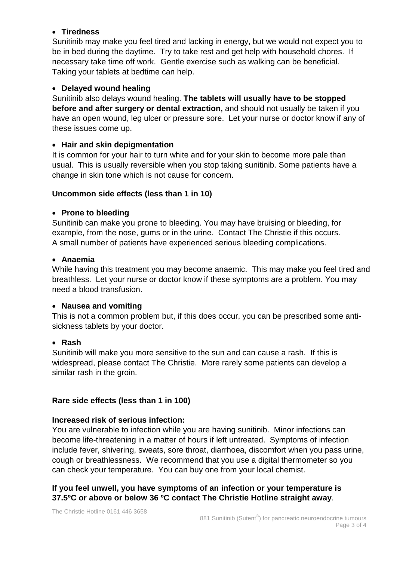#### • **Tiredness**

Sunitinib may make you feel tired and lacking in energy, but we would not expect you to be in bed during the daytime. Try to take rest and get help with household chores. If necessary take time off work. Gentle exercise such as walking can be beneficial. Taking your tablets at bedtime can help.

#### • **Delayed wound healing**

Sunitinib also delays wound healing. **The tablets will usually have to be stopped before and after surgery or dental extraction,** and should not usually be taken if you have an open wound, leg ulcer or pressure sore. Let your nurse or doctor know if any of these issues come up.

#### • **Hair and skin depigmentation**

It is common for your hair to turn white and for your skin to become more pale than usual. This is usually reversible when you stop taking sunitinib. Some patients have a change in skin tone which is not cause for concern.

#### **Uncommon side effects (less than 1 in 10)**

#### • **Prone to bleeding**

Sunitinib can make you prone to bleeding. You may have bruising or bleeding, for example, from the nose, gums or in the urine. Contact The Christie if this occurs. A small number of patients have experienced serious bleeding complications.

#### • **Anaemia**

While having this treatment you may become anaemic. This may make you feel tired and breathless. Let your nurse or doctor know if these symptoms are a problem. You may need a blood transfusion.

#### • **Nausea and vomiting**

This is not a common problem but, if this does occur, you can be prescribed some antisickness tablets by your doctor.

#### • **Rash**

Sunitinib will make you more sensitive to the sun and can cause a rash. If this is widespread, please contact The Christie. More rarely some patients can develop a similar rash in the groin.

#### **Rare side effects (less than 1 in 100)**

#### **Increased risk of serious infection:**

You are vulnerable to infection while you are having sunitinib. Minor infections can become life-threatening in a matter of hours if left untreated. Symptoms of infection include fever, shivering, sweats, sore throat, diarrhoea, discomfort when you pass urine, cough or breathlessness. We recommend that you use a digital thermometer so you can check your temperature. You can buy one from your local chemist.

#### **If you feel unwell, you have symptoms of an infection or your temperature is 37.5ºC or above or below 36 ºC contact The Christie Hotline straight away**.